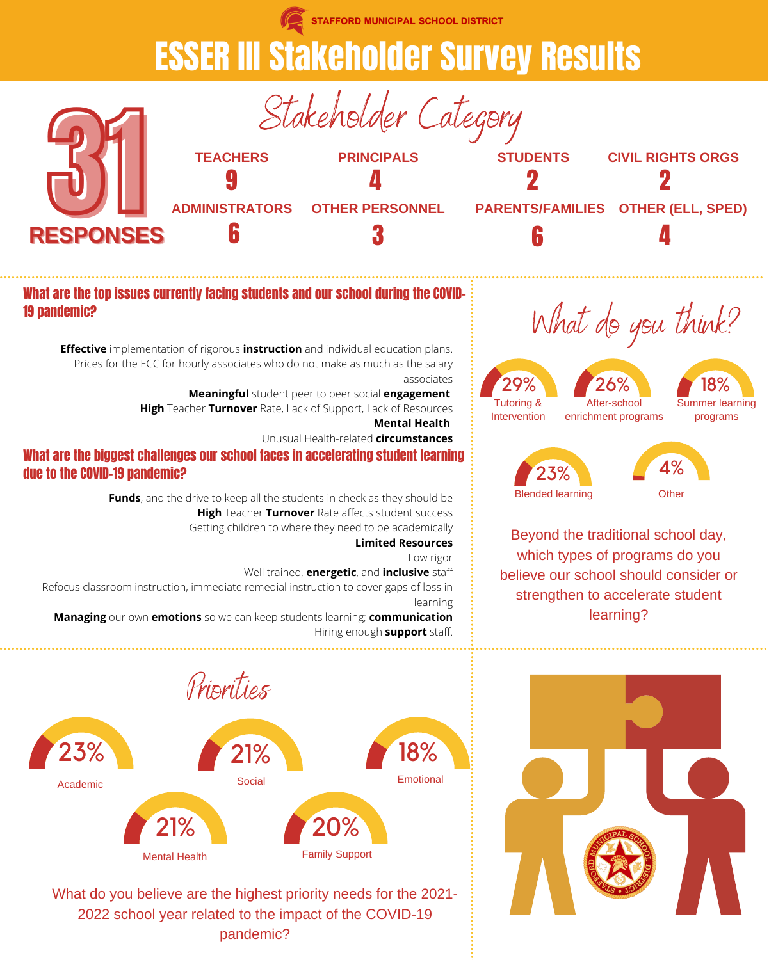**STAFFORD MUNICIPAL SCHOOL DISTRICT** 

### ESSER III Stakeholder Survey Results







What are the top issues currently facing students and our school during the COVID-19 pandemic?

**Effective** implementation of rigorous **instruction** and individual education plans. Prices for the ECC for hourly associates who do not make as much as the salary associates

> **Meaningful** student peer to peer social **engagement High** Teacher **Turnover** Rate, Lack of Support, Lack of Resources **Mental Health**

> > Unusual Health-related **circumstances**

#### What are the biggest challenges our school faces in accelerating student learning due to the COVID-19 pandemic?

**Funds**, and the drive to keep all the students in check as they should be **High** Teacher **Turnover** Rate affects student success Getting children to where they need to be academically **Limited Resources**

Low rigor

Well trained, **energetic**, and **inclusive** staff Refocus classroom instruction, immediate remedial instruction to cover gaps of loss in

learning

**Managing** our own **emotions** so we can keep students learning; **communication** Hiring enough **support** staff.



What do you believe are the highest priority needs for the 2021- 2022 school year related to the impact of the COVID-19 pandemic?

## What do you think?



Blended learning

Beyond the traditional school day, which types of programs do you believe our school should consider or strengthen to accelerate student learning?

**Other** 

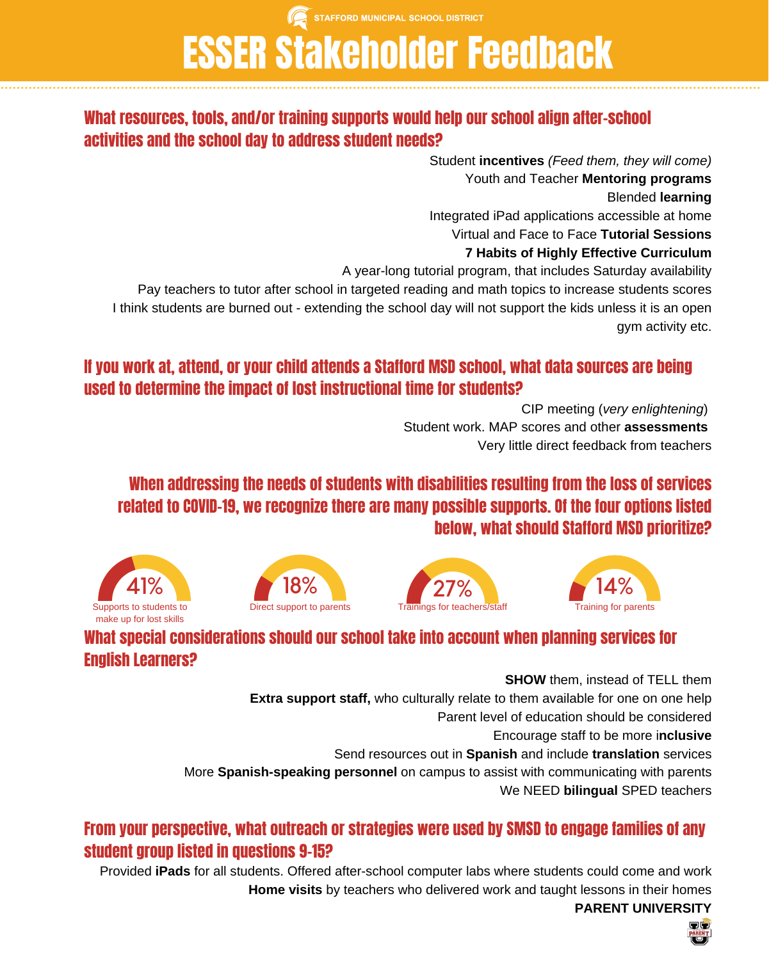STAFFORD MUNICIPAL SCHOOL DISTRICT

# ESSER Stakeholder Feedback

#### What resources, tools, and/or training supports would help our school align after-school activities and the school day to address student needs?

Student **incentives** *(Feed them, they will come)* Youth and Teacher **Mentoring programs** Blended **learning** Integrated iPad applications accessible at home Virtual and Face to Face **Tutorial Sessions 7 Habits of Highly Effective Curriculum** A year-long tutorial program, that includes Saturday availability Pay teachers to tutor after school in targeted reading and math topics to increase students scores

I think students are burned out - extending the school day will not support the kids unless it is an open gym activity etc.

#### If you work at, attend, or your child attends a Stafford MSD school, what data sources are being used to determine the impact of lost instructional time for students?

CIP meeting (*very enlightening*) Student work. MAP scores and other **assessments** Very little direct feedback from teachers

#### When addressing the needs of students with disabilities resulting from the loss of services related to COVID-19, we recognize there are many possible supports. Of the four options listed below, what should Stafford MSD prioritize?









#### What special considerations should our school take into account when planning services for English Learners?

**SHOW** them, instead of TELL them **Extra support staff,** who culturally relate to them available for one on one help Parent level of education should be considered Encourage staff to be more i**nclusive** Send resources out in **Spanish** and include **translation** services More **Spanish-speaking personnel** on campus to assist with communicating with parents We NEED **bilingual** SPED teachers

#### From your perspective, what outreach or strategies were used by SMSD to engage families of any student group listed in questions 9-15?

Provided **iPads** for all students. Offered after-school computer labs where students could come and work **Home visits** by teachers who delivered work and taught lessons in their homes **PARENT UNIVERSITY**

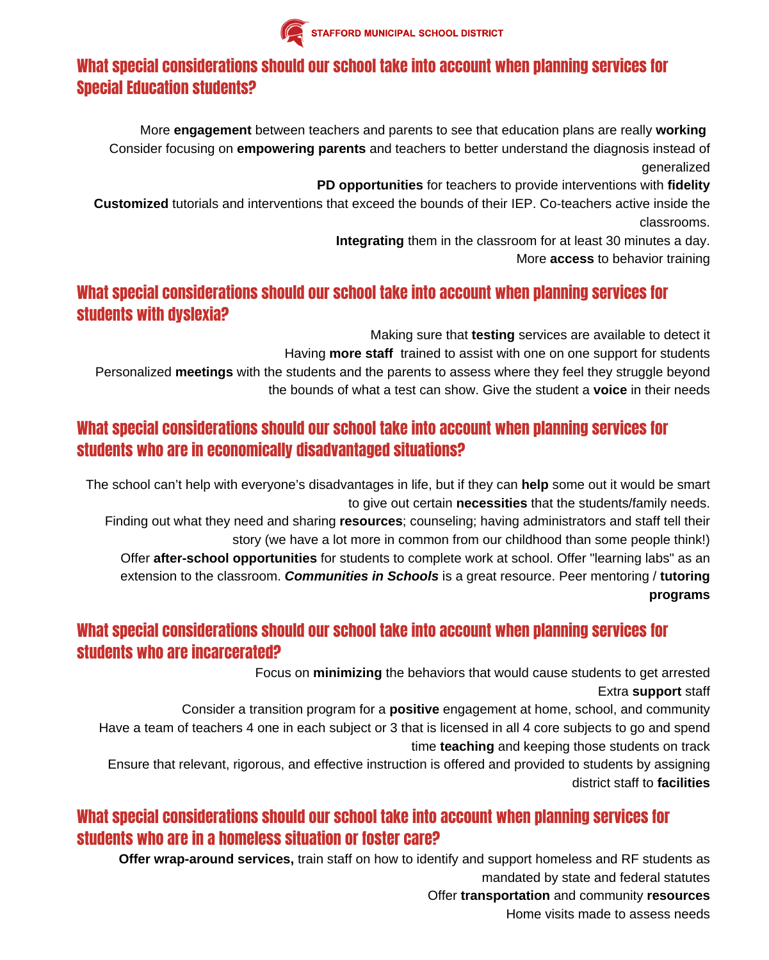

#### What special considerations should our school take into account when planning services for Special Education students?

More **engagement** between teachers and parents to see that education plans are really **working** Consider focusing on **empowering parents** and teachers to better understand the diagnosis instead of generalized

**PD opportunities** for teachers to provide interventions with **fidelity**

**Customized** tutorials and interventions that exceed the bounds of their IEP. Co-teachers active inside the classrooms.

**Integrating** them in the classroom for at least 30 minutes a day.

More **access** to behavior training

#### What special considerations should our school take into account when planning services for students with dyslexia?

Making sure that **testing** services are available to detect it

Having **more staff** trained to assist with one on one support for students

Personalized **meetings** with the students and the parents to assess where they feel they struggle beyond the bounds of what a test can show. Give the student a **voice** in their needs

#### What special considerations should our school take into account when planning services for students who are in economically disadvantaged situations?

The school can't help with everyone's disadvantages in life, but if they can **help** some out it would be smart to give out certain **necessities** that the students/family needs.

Finding out what they need and sharing **resources**; counseling; having administrators and staff tell their story (we have a lot more in common from our childhood than some people think!)

Offer **after-school opportunities** for students to complete work at school. Offer "learning labs" as an extension to the classroom. *Communities in Schools* is a great resource. Peer mentoring / **tutoring programs**

#### What special considerations should our school take into account when planning services for students who are incarcerated?

Focus on **minimizing** the behaviors that would cause students to get arrested Extra **support** staff

Consider a transition program for a **positive** engagement at home, school, and community Have a team of teachers 4 one in each subject or 3 that is licensed in all 4 core subjects to go and spend time **teaching** and keeping those students on track

Ensure that relevant, rigorous, and effective instruction is offered and provided to students by assigning district staff to **facilities**

#### What special considerations should our school take into account when planning services for students who are in a homeless situation or foster care?

**Offer wrap-around services,** train staff on how to identify and support homeless and RF students as mandated by state and federal statutes Offer **transportation** and community **resources**

Home visits made to assess needs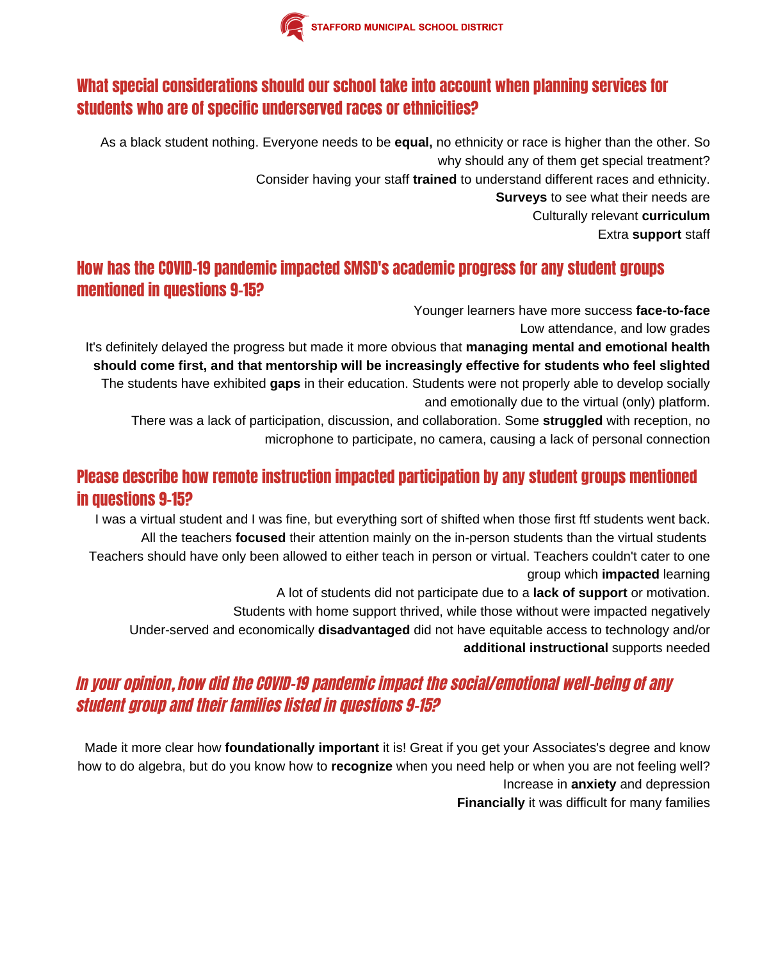

#### What special considerations should our school take into account when planning services for students who are of specific underserved races or ethnicities?

As a black student nothing. Everyone needs to be **equal,** no ethnicity or race is higher than the other. So why should any of them get special treatment? Consider having your staff **trained** to understand different races and ethnicity. **Surveys** to see what their needs are Culturally relevant **curriculum** Extra **support** staff

#### How has the COVID-19 pandemic impacted SMSD's academic progress for any student groups mentioned in questions 9-15?

Younger learners have more success **face-to-face**

Low attendance, and low grades

It's definitely delayed the progress but made it more obvious that **managing mental and emotional health should come first, and that mentorship will be increasingly effective for students who feel slighted** The students have exhibited **gaps** in their education. Students were not properly able to develop socially and emotionally due to the virtual (only) platform.

There was a lack of participation, discussion, and collaboration. Some **struggled** with reception, no microphone to participate, no camera, causing a lack of personal connection

#### Please describe how remote instruction impacted participation by any student groups mentioned in questions 9-15?

I was a virtual student and I was fine, but everything sort of shifted when those first ftf students went back. All the teachers **focused** their attention mainly on the in-person students than the virtual students Teachers should have only been allowed to either teach in person or virtual. Teachers couldn't cater to one group which **impacted** learning

A lot of students did not participate due to a **lack of support** or motivation.

Students with home support thrived, while those without were impacted negatively

Under-served and economically **disadvantaged** did not have equitable access to technology and/or **additional instructional** supports needed

#### In your opinion, how did the COVID-19 pandemic impact the social/emotional well-being of any student group and their families listed in questions 9-15?

Made it more clear how **foundationally important** it is! Great if you get your Associates's degree and know how to do algebra, but do you know how to **recognize** when you need help or when you are not feeling well? Increase in **anxiety** and depression **Financially** it was difficult for many families